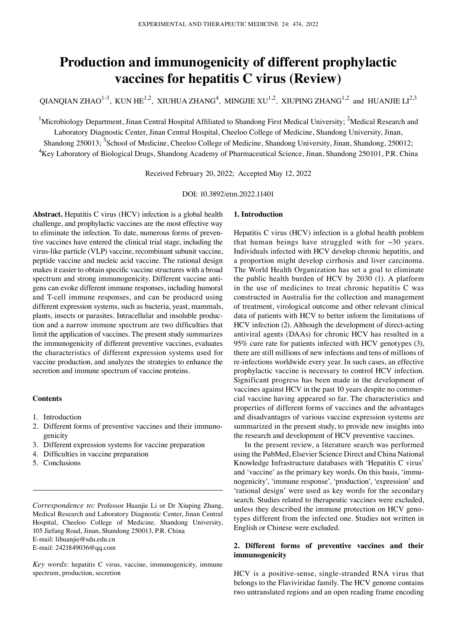# **Production and immunogenicity of different prophylactic vaccines for hepatitis C virus (Review)**

QIANQIAN ZHAO<sup>1-3</sup>, KUN HE<sup>1,2</sup>, XIUHUA ZHANG<sup>4</sup>, MINGJIE XU<sup>1,2</sup>, XIUPING ZHANG<sup>1,2</sup> and HUANJIE LI<sup>2,3</sup>

<sup>1</sup>Microbiology Department, Jinan Central Hospital Affiliated to Shandong First Medical University; <sup>2</sup>Medical Research and

Laboratory Diagnostic Center, Jinan Central Hospital, Cheeloo College of Medicine, Shandong University, Jinan,

Shandong 250013; <sup>3</sup>School of Medicine, Cheeloo College of Medicine, Shandong University, Jinan, Shandong, 250012; <sup>4</sup>Key Laboratory of Biological Drugs, Shandong Academy of Pharmaceutical Science, Jinan, Shandong 250101, P.R. China

Received February 20, 2022; Accepted May 12, 2022

DOI: 10.3892/etm.2022.11401

**Abstract.** Hepatitis C virus (HCV) infection is a global health challenge, and prophylactic vaccines are the most effective way to eliminate the infection. To date, numerous forms of preventive vaccines have entered the clinical trial stage, including the virus‑like particle (VLP) vaccine, recombinant subunit vaccine, peptide vaccine and nucleic acid vaccine. The rational design makes it easier to obtain specific vaccine structures with a broad spectrum and strong immunogenicity. Different vaccine antigens can evoke different immune responses, including humoral and T‑cell immune responses, and can be produced using different expression systems, such as bacteria, yeast, mammals, plants, insects or parasites. Intracellular and insoluble production and a narrow immune spectrum are two difficulties that limit the application of vaccines. The present study summarizes the immunogenicity of different preventive vaccines, evaluates the characteristics of different expression systems used for vaccine production, and analyzes the strategies to enhance the secretion and immune spectrum of vaccine proteins.

# **Contents**

- 1. Introduction
- 2. Different forms of preventive vaccines and their immunogenicity
- 3. Different expression systems for vaccine preparation
- 4. Difficulties in vaccine preparation
- 5. Conclusions

*Correspondence to:* Professor Huanjie Li or Dr Xiuping Zhang, Medical Research and Laboratory Diagnostic Center, Jinan Central Hospital, Cheeloo College of Medicine, Shandong University, 105 Jiefang Road, Jinan, Shandong 250013, P.R. China E‑mail: lihuanjie@sdu.edu.cn E‑mail: 2421849036@qq.com

*Key words:* hepatitis C virus, vaccine, immunogenicity, immune spectrum, production, secretion

## **1. Introduction**

Hepatitis C virus (HCV) infection is a global health problem that human beings have struggled with for  $\sim$ 30 years. Individuals infected with HCV develop chronic hepatitis, and a proportion might develop cirrhosis and liver carcinoma. The World Health Organization has set a goal to eliminate the public health burden of HCV by 2030 (1). A platform in the use of medicines to treat chronic hepatitis C was constructed in Australia for the collection and management of treatment, virological outcome and other relevant clinical data of patients with HCV to better inform the limitations of HCV infection (2). Although the development of direct-acting antiviral agents (DAAs) for chronic HCV has resulted in a 95% cure rate for patients infected with HCV genotypes (3), there are still millions of new infections and tens of millions of re‑infections worldwide every year. In such cases, an effective prophylactic vaccine is necessary to control HCV infection. Significant progress has been made in the development of vaccines against HCV in the past 10 years despite no commercial vaccine having appeared so far. The characteristics and properties of different forms of vaccines and the advantages and disadvantages of various vaccine expression systems are summarized in the present study, to provide new insights into the research and development of HCV preventive vaccines.

In the present review, a literature search was performed using the PubMed, Elsevier Science Direct and China National Knowledge Infrastructure databases with 'Hepatitis C virus' and 'vaccine' as the primary key words. On this basis, 'immunogenicity', 'immune response', 'production', 'expression' and 'rational design' were used as key words for the secondary search. Studies related to therapeutic vaccines were excluded, unless they described the immune protection on HCV genotypes different from the infected one. Studies not written in English or Chinese were excluded.

# **2. Different forms of preventive vaccines and their immunogenicity**

HCV is a positive‑sense, single‑stranded RNA virus that belongs to the Flaviviridae family. The HCV genome contains two untranslated regions and an open reading frame encoding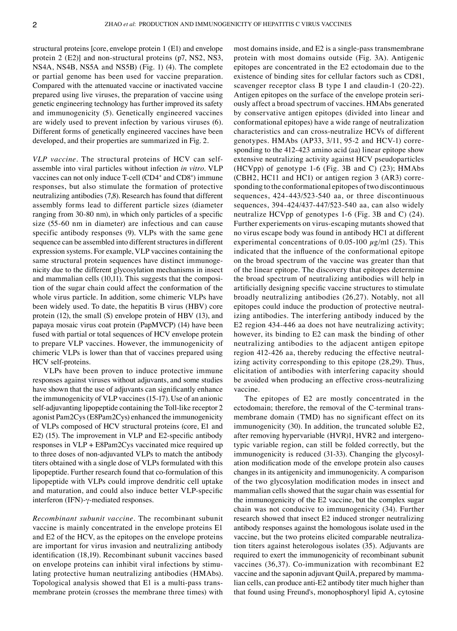structural proteins [core, envelope protein 1 (E1) and envelope protein 2 (E2)] and non‑structural proteins (p7, NS2, NS3, NS4A, NS4B, NS5A and NS5B) (Fig. 1) (4). The complete or partial genome has been used for vaccine preparation. Compared with the attenuated vaccine or inactivated vaccine prepared using live viruses, the preparation of vaccine using genetic engineering technology has further improved its safety and immunogenicity (5). Genetically engineered vaccines are widely used to prevent infection by various viruses (6). Different forms of genetically engineered vaccines have been developed, and their properties are summarized in Fig. 2.

*VLP vaccine.* The structural proteins of HCV can selfassemble into viral particles without infection *in vitro*. VLP vaccines can not only induce T-cell (CD4<sup>+</sup> and CD8<sup>+</sup>) immune responses, but also stimulate the formation of protective neutralizing antibodies (7,8). Research has found that different assembly forms lead to different particle sizes (diameter ranging from 30‑80 nm), in which only particles of a specific size (55‑60 nm in diameter) are infectious and can cause specific antibody responses (9). VLPs with the same gene sequence can be assembled into different structures in different expression systems. For example, VLP vaccines containing the same structural protein sequences have distinct immunogenicity due to the different glycosylation mechanisms in insect and mammalian cells  $(10,11)$ . This suggests that the composition of the sugar chain could affect the conformation of the whole virus particle. In addition, some chimeric VLPs have been widely used. To date, the hepatitis B virus (HBV) core protein (12), the small (S) envelope protein of HBV (13), and papaya mosaic virus coat protein (PapMVCP) (14) have been fused with partial or total sequences of HCV envelope protein to prepare VLP vaccines. However, the immunogenicity of chimeric VLPs is lower than that of vaccines prepared using HCV self‑proteins.

VLPs have been proven to induce protective immune responses against viruses without adjuvants, and some studies have shown that the use of adjuvants can significantly enhance the immunogenicity of VLP vaccines (15-17). Use of an anionic self-adjuvanting lipopeptide containing the Toll-like receptor 2 agonist Pam2Cys (E8Pam2Cys) enhanced the immunogenicity of VLPs composed of HCV structural proteins (core, E1 and E2) (15). The improvement in VLP and E2‑specific antibody responses in VLP + E8Pam2Cys vaccinated mice required up to three doses of non‑adjuvanted VLPs to match the antibody titers obtained with a single dose of VLPs formulated with this lipopeptide. Further research found that co‑formulation of this lipopeptide with VLPs could improve dendritic cell uptake and maturation, and could also induce better VLP‑specific interferon (IFN)‑γ‑mediated responses.

*Recombinant subunit vaccine.* The recombinant subunit vaccine is mainly concentrated in the envelope proteins E1 and E2 of the HCV, as the epitopes on the envelope proteins are important for virus invasion and neutralizing antibody identification (18,19). Recombinant subunit vaccines based on envelope proteins can inhibit viral infections by stimulating protective human neutralizing antibodies (HMAbs). Topological analysis showed that E1 is a multi-pass transmembrane protein (crosses the membrane three times) with most domains inside, and E2 is a single-pass transmembrane protein with most domains outside (Fig. 3A). Antigenic epitopes are concentrated in the E2 ectodomain due to the existence of binding sites for cellular factors such as CD81, scavenger receptor class B type I and claudin-1 (20-22). Antigen epitopes on the surface of the envelope protein seriously affect a broad spectrum of vaccines. HMAbs generated by conservative antigen epitopes (divided into linear and conformational epitopes) have a wide range of neutralization characteristics and can cross‑neutralize HCVs of different genotypes. HMAbs (AP33, 3/11, 95-2 and HCV-1) corresponding to the 412-423 amino acid (aa) linear epitope show extensive neutralizing activity against HCV pseudoparticles (HCVpp) of genotype 1-6 (Fig. 3B and C)  $(23)$ ; HMAbs (CBH2, HC11 and HC1) or antigen region 3 (AR3) corre‑ sponding to the conformational epitopes of two discontinuous sequences, 424‑443/523‑540 aa, or three discontinuous sequences, 394‑424/437‑447/523‑540 aa, can also widely neutralize HCVpp of genotypes 1‑6 (Fig. 3B and C) (24). Further experiements on virus‑escaping mutants showed that no virus escape body was found in antibody HC1 at different experimental concentrations of 0.05-100  $\mu$ g/ml (25). This indicated that the influence of the conformational epitope on the broad spectrum of the vaccine was greater than that of the linear epitope. The discovery that epitopes determine the broad spectrum of neutralizing antibodies will help in artificially designing specific vaccine structures to stimulate broadly neutralizing antibodies (26,27). Notably, not all epitopes could induce the production of protective neutralizing antibodies. The interfering antibody induced by the E2 region 434-446 aa does not have neutralizing activity; however, its binding to E2 can mask the binding of other neutralizing antibodies to the adjacent antigen epitope region 412-426 aa, thereby reducing the effective neutralizing activity corresponding to this epitope (28,29). Thus, elicitation of antibodies with interfering capacity should be avoided when producing an effective cross-neutralizing vaccine.

The epitopes of E2 are mostly concentrated in the ectodomain; therefore, the removal of the C-terminal transmembrane domain (TMD) has no significant effect on its immunogenicity (30). In addition, the truncated soluble E2, after removing hypervariable (HVR)1, HVR2 and intergenotypic variable region, can still be folded correctly, but the immunogenicity is reduced (31-33). Changing the glycosylation modification mode of the envelope protein also causes changes in its antigenicity and immunogenicity. A comparison of the two glycosylation modification modes in insect and mammalian cells showed that the sugar chain was essential for the immunogenicity of the E2 vaccine, but the complex sugar chain was not conducive to immunogenicity (34). Further research showed that insect E2 induced stronger neutralizing antibody responses against the homologous isolate used in the vaccine, but the two proteins elicited comparable neutralization titers against heterologous isolates (35). Adjuvants are required to exert the immunogenicity of recombinant subunit vaccines (36,37). Co-immunization with recombinant E2 vaccine and the saponin adjuvant QuilA, prepared by mammalian cells, can produce anti-E2 antibody titer much higher than that found using Freund's, monophosphoryl lipid A, cytosine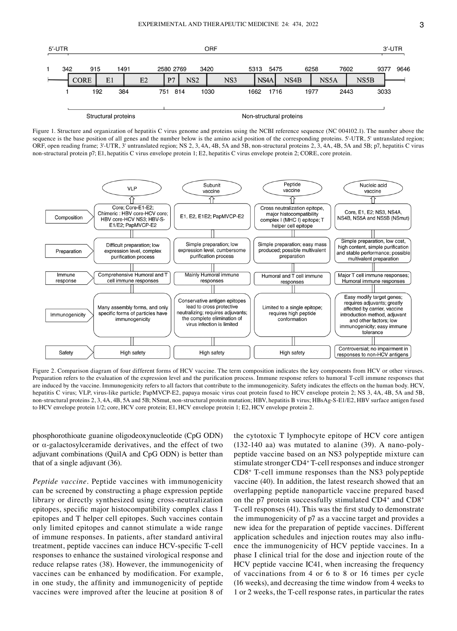

Figure 1. Structure and organization of hepatitis C virus genome and proteins using the NCBI reference sequence (NC 004102.1). The number above the sequence is the base position of all genes and the number below is the amino acid position of the corresponding proteins. 5'–UTR, 5' untranslated region; ORF, open reading frame; 3'‑UTR, 3' untranslated region; NS 2, 3, 4A, 4B, 5A and 5B, non‑structural proteins 2, 3, 4A, 4B, 5A and 5B; p7, hepatitis C virus non‑structural protein p7; E1, hepatitis C virus envelope protein 1; E2, hepatitis C virus envelope protein 2; CORE, core protein.



Figure 2. Comparison diagram of four different forms of HCV vaccine. The term composition indicates the key components from HCV or other viruses. Preparation refers to the evaluation of the expression level and the purification process. Immune response refers to humoral T-cell immune responses that are induced by the vaccine. Immunogenicity refers to all factors that contribute to the immunogenicity. Safety indicates the effects on the human body. HCV, hepatitis C virus; VLP, virus-like particle; PapMVCP-E2, papaya mosaic virus coat protein fused to HCV envelope protein 2; NS 3, 4A, 4B, 5A and 5B, non-structural proteins 2, 3, 4A, 4B, 5A and 5B; NSmut, non-structural protein mutation; HBV, hepatitis B virus; HBsAg-S-E1/E2, HBV surface antigen fused to HCV envelope protein 1/2; core, HCV core protein; E1, HCV envelope protein 1; E2, HCV envelope protein 2.

phosphorothioate guanine oligodeoxynucleotide (CpG ODN) or  $\alpha$ -galactosylceramide derivatives, and the effect of two adjuvant combinations (QuilA and CpG ODN) is better than that of a single adjuvant (36).

*Peptide vaccine.* Peptide vaccines with immunogenicity can be screened by constructing a phage expression peptide library or directly synthesized using cross‑neutralization epitopes, specific major histocompatibility complex class I epitopes and T helper cell epitopes. Such vaccines contain only limited epitopes and cannot stimulate a wide range of immune responses. In patients, after standard antiviral treatment, peptide vaccines can induce HCV‑specific T‑cell responses to enhance the sustained virological response and reduce relapse rates (38). However, the immunogenicity of vaccines can be enhanced by modification. For example, in one study, the affinity and immunogenicity of peptide vaccines were improved after the leucine at position 8 of

the cytotoxic T lymphocyte epitope of HCV core antigen (132-140 aa) was mutated to alanine  $(39)$ . A nano-polypeptide vaccine based on an NS3 polypeptide mixture can stimulate stronger CD4+ T‑cell responses and induce stronger CD8+ T‑cell immune responses than the NS3 polypeptide vaccine (40). In addition, the latest research showed that an overlapping peptide nanoparticle vaccine prepared based on the p7 protein successfully stimulated CD4<sup>+</sup> and CD8<sup>+</sup> T‑cell responses (41). This was the first study to demonstrate the immunogenicity of p7 as a vaccine target and provides a new idea for the preparation of peptide vaccines. Different application schedules and injection routes may also influence the immunogenicity of HCV peptide vaccines. In a phase I clinical trial for the dose and injection route of the HCV peptide vaccine IC41, when increasing the frequency of vaccinations from 4 or 6 to 8 or 16 times per cycle (16 weeks), and decreasing the time window from 4 weeks to 1 or 2 weeks, the T‑cell response rates, in particular the rates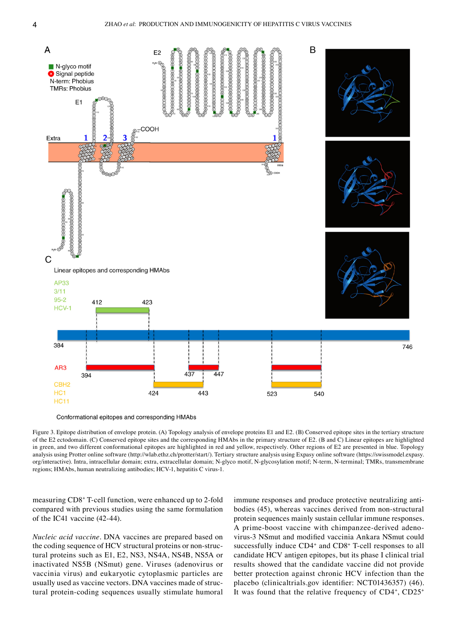

Conformational epitopes and corresponding HMAbs

Figure 3. Epitope distribution of envelope protein. (A) Topology analysis of envelope proteins E1 and E2. (B) Conserved epitope sites in the tertiary structure of the E2 ectodomain. (C) Conserved epitope sites and the corresponding HMAbs in the primary structure of E2. (B and C) Linear epitopes are highlighted in green, and two different conformational epitopes are highlighted in red and yellow, respectively. Other regions of E2 are presented in blue. Topology analysis using Protter online software (http://wlab.ethz.ch/protter/start/). Tertiary structure analysis using Expasy online software (https://swissmodel.expasy. org/interactive). Intra, intracellular domain; extra, extracellular domain; N‑glyco motif, N‑glycosylation motif; N‑term, N‑terminal; TMRs, transmembrane regions; HMAbs, human neutralizing antibodies; HCV‑1, hepatitis C virus‑1.

measuring CD8+ T‑cell function, were enhanced up to 2‑fold compared with previous studies using the same formulation of the IC41 vaccine (42‑44).

*Nucleic acid vaccine.* DNA vaccines are prepared based on the coding sequence of HCV structural proteins or non-structural proteins such as E1, E2, NS3, NS4A, NS4B, NS5A or inactivated NS5B (NSmut) gene. Viruses (adenovirus or vaccinia virus) and eukaryotic cytoplasmic particles are usually used as vaccine vectors. DNA vaccines made of structural protein‑coding sequences usually stimulate humoral immune responses and produce protective neutralizing antibodies (45), whereas vaccines derived from non‑structural protein sequences mainly sustain cellular immune responses. A prime-boost vaccine with chimpanzee-derived adenovirus‑3 NSmut and modified vaccinia Ankara NSmut could successfully induce CD4<sup>+</sup> and CD8<sup>+</sup> T-cell responses to all candidate HCV antigen epitopes, but its phase I clinical trial results showed that the candidate vaccine did not provide better protection against chronic HCV infection than the placebo (clinicaltrials.gov identifier: NCT01436357) (46). It was found that the relative frequency of CD4+, CD25+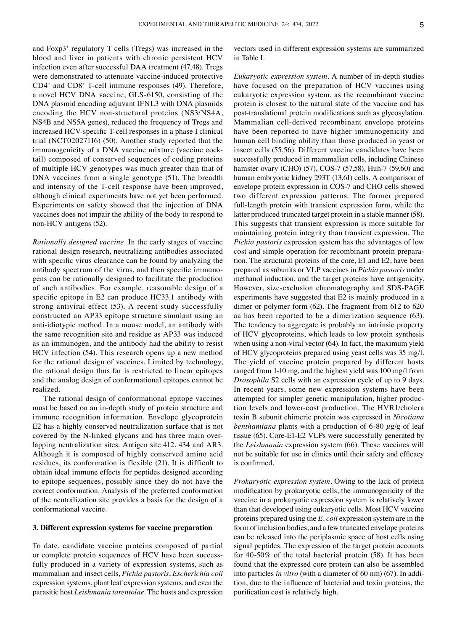and Foxp3+ regulatory T cells (Tregs) was increased in the blood and liver in patients with chronic persistent HCV infection even after successful DAA treatment (47,48). Tregs were demonstrated to attenuate vaccine-induced protective CD4+ and CD8+ T‑cell immune responses (49). Therefore, a novel HCV DNA vaccine, GLS‑6150, consisting of the DNA plasmid encoding adjuvant IFNL3 with DNA plasmids encoding the HCV non‑structural proteins (NS3/NS4A, NS4B and NS5A genes), reduced the frequency of Tregs and increased HCV‑specific T‑cell responses in a phase I clinical trial (NCT02027116) (50). Another study reported that the immunogenicity of a DNA vaccine mixture (vaccine cocktail) composed of conserved sequences of coding proteins of multiple HCV genotypes was much greater than that of DNA vaccines from a single genotype (51). The breadth and intensity of the T‑cell response have been improved, although clinical experiments have not yet been performed. Experiments on safety showed that the injection of DNA vaccines does not impair the ability of the body to respond to non‑HCV antigens (52).

*Rationally designed vaccine.* In the early stages of vaccine rational design research, neutralizing antibodies associated with specific virus clearance can be found by analyzing the antibody spectrum of the virus, and then specific immunogens can be rationally designed to facilitate the production of such antibodies. For example, reasonable design of a specific epitope in E2 can produce HC33.1 antibody with strong antiviral effect (53). A recent study successfully constructed an AP33 epitope structure simulant using an anti‑idiotypic method. In a mouse model, an antibody with the same recognition site and residue as AP33 was induced as an immunogen, and the antibody had the ability to resist HCV infection (54). This research opens up a new method for the rational design of vaccines. Limited by technology, the rational design thus far is restricted to linear epitopes and the analog design of conformational epitopes cannot be realized.

The rational design of conformational epitope vaccines must be based on an in‑depth study of protein structure and immune recognition information. Envelope glycoprotein E2 has a highly conserved neutralization surface that is not covered by the N-linked glycans and has three main overlapping neutralization sites: Antigen site 412, 434 and AR3. Although it is composed of highly conserved amino acid residues, its conformation is flexible (21). It is difficult to obtain ideal immune effects for peptides designed according to epitope sequences, possibly since they do not have the correct conformation. Analysis of the preferred conformation of the neutralization site provides a basis for the design of a conformational vaccine.

# **3. Different expression systems for vaccine preparation**

To date, candidate vaccine proteins composed of partial or complete protein sequences of HCV have been successfully produced in a variety of expression systems, such as mammalian and insect cells, *Pichia pastoris*, *Escherichia coli* expression systems, plant leaf expression systems, and even the parasitic host *Leishmania tarentolae*. The hosts and expression

vectors used in different expression systems are summarized in Table I.

*Eukaryotic expression system.* A number of in‑depth studies have focused on the preparation of HCV vaccines using eukaryotic expression system, as the recombinant vaccine protein is closest to the natural state of the vaccine and has post‑translational protein modifications such as glycosylation. Mammalian cell‑derived recombinant envelope proteins have been reported to have higher immunogenicity and human cell binding ability than those produced in yeast or insect cells (55,56). Different vaccine candidates have been successfully produced in mammalian cells, including Chinese hamster ovary (CHO) (57), COS-7 (57,58), Huh-7 (59,60) and human embryonic kidney 293T (13,61) cells. A comparison of envelope protein expression in COS‑7 and CHO cells showed two different expression patterns: The former prepared full-length protein with transient expression form, while the latter produced truncated target protein in a stable manner (58). This suggests that transient expression is more suitable for maintaining protein integrity than transient expression. The *Pichia pastoris* expression system has the advantages of low cost and simple operation for recombinant protein preparation. The structural proteins of the core, E1 and E2, have been prepared as subunits or VLP vaccines in *Pichia pastoris* under methanol induction, and the target proteins have antigenicity. However, size‑exclusion chromatography and SDS‑PAGE experiments have suggested that E2 is mainly produced in a dimer or polymer form (62). The fragment from 612 to 620 aa has been reported to be a dimerization sequence (63). The tendency to aggregate is probably an intrinsic property of HCV glycoproteins, which leads to low protein synthesis when using a non-viral vector (64). In fact, the maximum yield of HCV glycoproteins prepared using yeast cells was 35 mg/l. The yield of vaccine protein prepared by different hosts ranged from 1-10 mg, and the highest yield was 100 mg/l from *Drosophila* S2 cells with an expression cycle of up to 9 days. In recent years, some new expression systems have been attempted for simpler genetic manipulation, higher production levels and lower‑cost production. The HVR1/cholera toxin B subunit chimeric protein was expressed in *Nicotiana benthamiana* plants with a production of 6-80  $\mu$ g/g of leaf tissue (65). Core-E1-E2 VLPs were successfully generated by the *Leishmania* expression system (66). These vaccines will not be suitable for use in clinics until their safety and efficacy is confirmed.

*Prokaryotic expression system.* Owing to the lack of protein modification by prokaryotic cells, the immunogenicity of the vaccine in a prokaryotic expression system is relatively lower than that developed using eukaryotic cells. Most HCV vaccine proteins prepared using the *E. coli* expression system are in the form of inclusion bodies, and a few truncated envelope proteins can be released into the periplasmic space of host cells using signal peptides. The expression of the target protein accounts for 40-50% of the total bacterial protein (58). It has been found that the expressed core protein can also be assembled into particles *in vitro* (with a diameter of 60 nm) (67). In addition, due to the influence of bacterial and toxin proteins, the purification cost is relatively high.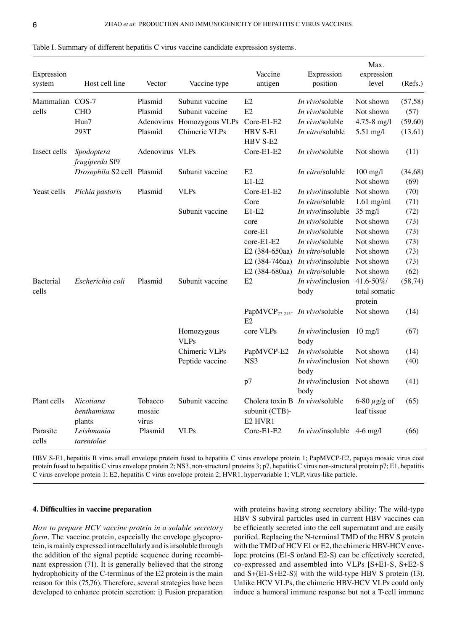| Expression<br>system      | Host cell line                     | Vector                     | Vaccine type               | Vaccine<br>antigen                                        | Expression<br>position              | Max.<br>expression<br>level           | (Refs.)  |
|---------------------------|------------------------------------|----------------------------|----------------------------|-----------------------------------------------------------|-------------------------------------|---------------------------------------|----------|
| Mammalian COS-7           |                                    | Plasmid                    | Subunit vaccine            | E2                                                        | In vivo/soluble                     | Not shown                             | (57, 58) |
| cells                     | <b>CHO</b>                         | Plasmid                    | Subunit vaccine            | E2                                                        | <i>In vivo</i> /soluble             | Not shown                             | (57)     |
|                           | Hun7                               |                            | Adenovirus Homozygous VLPs | Core-E1-E2                                                | In vivo/soluble                     | $4.75 - 8$ mg/l                       | (59,60)  |
|                           | 293T                               | Plasmid                    | Chimeric VLPs              | HBV S-E1<br>HBV S-E2                                      | In vitro/soluble                    | 5.51 mg/l                             | (13,61)  |
| Insect cells              | Spodoptera<br>frugiperda Sf9       | Adenovirus VLPs            |                            | Core-E1-E2                                                | In vivo/soluble                     | Not shown                             | (11)     |
|                           | Drosophila S2 cell Plasmid         |                            | Subunit vaccine            | E2                                                        | In vitro/soluble                    | $100$ mg/l                            | (34,68)  |
|                           |                                    |                            |                            | $E1-E2$                                                   |                                     | Not shown                             | (69)     |
| Yeast cells               | Pichia pastoris                    | Plasmid                    | <b>VLPs</b>                | Core-E1-E2                                                | In vivo/insoluble                   | Not shown                             | (70)     |
|                           |                                    |                            |                            | Core                                                      | In vitro/soluble                    | $1.61$ mg/ml                          | (71)     |
|                           |                                    |                            | Subunit vaccine            | $E1-E2$                                                   | In vivo/insoluble                   | $35$ mg/l                             | (72)     |
|                           |                                    |                            |                            | core                                                      | <i>In vivo</i> /soluble             | Not shown                             | (73)     |
|                           |                                    |                            |                            | core-E1                                                   | <i>In vivo</i> /soluble             | Not shown                             | (73)     |
|                           |                                    |                            |                            | core-E1-E2                                                | <i>In vivo</i> /soluble             | Not shown                             | (73)     |
|                           |                                    |                            |                            | E2 (384-650aa)                                            | In vitro/soluble                    | Not shown                             | (73)     |
|                           |                                    |                            |                            | E2 (384-746aa)                                            | In vivo/insoluble                   | Not shown                             | (73)     |
|                           |                                    |                            |                            | E2 (384-680aa)                                            | <i>In vitro/soluble</i>             | Not shown                             | (62)     |
| <b>Bacterial</b><br>cells | Escherichia coli                   | Plasmid                    | Subunit vaccine            | E2                                                        | <i>In vivo</i> /inclusion<br>body   | 41.6-50%/<br>total somatic<br>protein | (58, 74) |
|                           |                                    |                            |                            | PapMVCP <sub>27-215</sub> - <i>In vivo</i> /soluble<br>E2 |                                     | Not shown                             | (14)     |
|                           |                                    |                            | Homozygous<br><b>VLPs</b>  | core VLPs                                                 | In vivo/inclusion<br>body           | $10 \text{ mg/l}$                     | (67)     |
|                           |                                    |                            | Chimeric VLPs              | PapMVCP-E2                                                | In vivo/soluble                     | Not shown                             | (14)     |
|                           |                                    |                            | Peptide vaccine            | NS <sub>3</sub>                                           | In vivo/inclusion<br>body           | Not shown                             | (40)     |
|                           |                                    |                            |                            | p7                                                        | In vivo/inclusion Not shown<br>body |                                       | (41)     |
| Plant cells               | Nicotiana<br>benthamiana<br>plants | Tobacco<br>mosaic<br>virus | Subunit vaccine            | Cholera toxin B<br>subunit (CTB)-<br>E2 HVR1              | In vivo/soluble                     | 6-80 $\mu$ g/g of<br>leaf tissue      | (65)     |
| Parasite<br>cells         | Leishmania<br>tarentolae           | Plasmid                    | <b>VLPs</b>                | Core-E1-E2                                                | In vivo/insoluble                   | $4-6$ mg/l                            | (66)     |

Table I. Summary of different hepatitis C virus vaccine candidate expression systems.

HBV S‑E1, hepatitis B virus small envelope protein fused to hepatitis C virus envelope protein 1; PapMVCP‑E2, papaya mosaic virus coat protein fused to hepatitis C virus envelope protein 2; NS3, non-structural proteins 3; p7, hepatitis C virus non-structural protein p7; E1, hepatitis C virus envelope protein 1; E2, hepatitis C virus envelope protein 2; HVR1, hypervariable 1; VLP, virus-like particle.

## **4. Difficulties in vaccine preparation**

*How to prepare HCV vaccine protein in a soluble secretory form*. The vaccine protein, especially the envelope glycoprotein, is mainly expressed intracellularly and is insoluble through the addition of the signal peptide sequence during recombinant expression (71). It is generally believed that the strong hydrophobicity of the C-terminus of the E2 protein is the main reason for this (75,76). Therefore, several strategies have been developed to enhance protein secretion: i) Fusion preparation with proteins having strong secretory ability: The wild-type HBV S subviral particles used in current HBV vaccines can be efficiently secreted into the cell supernatant and are easily purified. Replacing the N-terminal TMD of the HBV S protein with the TMD of HCV E1 or E2, the chimeric HBV-HCV envelope proteins (E1‑S or/and E2‑S) can be effectively secreted, co‑expressed and assembled into VLPs [S+E1‑S, S+E2‑S and  $S+(E1-S+E2-S)$ ] with the wild-type HBV S protein (13). Unlike HCV VLPs, the chimeric HBV‑HCV VLPs could only induce a humoral immune response but not a T-cell immune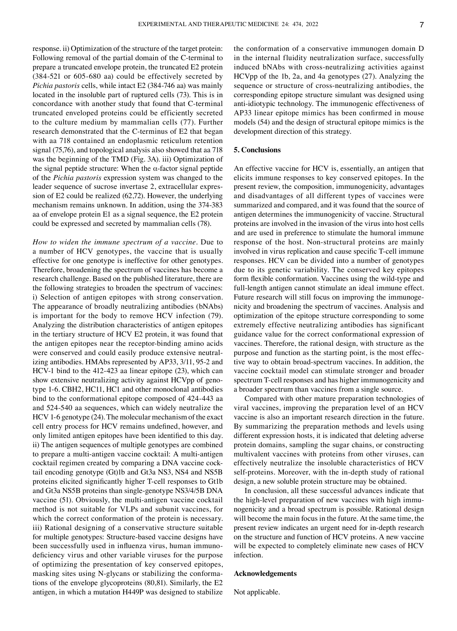response. ii) Optimization of the structure of the target protein: Following removal of the partial domain of the C-terminal to prepare a truncated envelope protein, the truncated E2 protein (384‑521 or 605‑680 aa) could be effectively secreted by *Pichia pastoris* cells, while intact E2 (384‑746 aa) was mainly located in the insoluble part of ruptured cells (73). This is in concordance with another study that found that C‑terminal truncated enveloped proteins could be efficiently secreted to the culture medium by mammalian cells (77). Further research demonstrated that the C‑terminus of E2 that began with aa 718 contained an endoplasmic reticulum retention signal (75,76), and topological analysis also showed that aa 718 was the beginning of the TMD (Fig. 3A). iii) Optimization of the signal peptide structure: When the α-factor signal peptide of the *Pichia pastoris* expression system was changed to the leader sequence of sucrose invertase 2, extracellular expression of E2 could be realized (62,72). However, the underlying mechanism remains unknown. In addition, using the 374‑383 aa of envelope protein E1 as a signal sequence, the E2 protein could be expressed and secreted by mammalian cells (78).

*How to widen the immune spectrum of a vaccine.* Due to a number of HCV genotypes, the vaccine that is usually effective for one genotype is ineffective for other genotypes. Therefore, broadening the spectrum of vaccines has become a research challenge. Based on the published literature, there are the following strategies to broaden the spectrum of vaccines: i) Selection of antigen epitopes with strong conservation. The appearance of broadly neutralizing antibodies (bNAbs) is important for the body to remove HCV infection (79). Analyzing the distribution characteristics of antigen epitopes in the tertiary structure of HCV E2 protein, it was found that the antigen epitopes near the receptor-binding amino acids were conserved and could easily produce extensive neutralizing antibodies. HMAbs represented by AP33, 3/11, 95-2 and HCV-1 bind to the 412-423 aa linear epitope (23), which can show extensive neutralizing activity against HCVpp of genotype 1‑6. CBH2, HC11, HC1 and other monoclonal antibodies bind to the conformational epitope composed of 424‑443 aa and 524‑540 aa sequences, which can widely neutralize the HCV 1-6 genotype (24). The molecular mechanism of the exact cell entry process for HCV remains undefined, however, and only limited antigen epitopes have been identified to this day. ii) The antigen sequences of multiple genotypes are combined to prepare a multi-antigen vaccine cocktail: A multi-antigen cocktail regimen created by comparing a DNA vaccine cocktail encoding genotype (Gt)1b and Gt3a NS3, NS4 and NS5B proteins elicited significantly higher T‑cell responses to Gt1b and Gt3a NS5B proteins than single‑genotype NS3/4/5B DNA vaccine (51). Obviously, the multi-antigen vaccine cocktail method is not suitable for VLPs and subunit vaccines, for which the correct conformation of the protein is necessary. iii) Rational designing of a conservative structure suitable for multiple genotypes: Structure-based vaccine designs have been successfully used in influenza virus, human immunodeficiency virus and other variable viruses for the purpose of optimizing the presentation of key conserved epitopes, masking sites using N-glycans or stabilizing the conformations of the envelope glycoproteins (80,81). Similarly, the E2 antigen, in which a mutation H449P was designed to stabilize the conformation of a conservative immunogen domain D in the internal fluidity neutralization surface, successfully induced bNAbs with cross-neutralizing activities against HCVpp of the 1b, 2a, and 4a genotypes (27). Analyzing the sequence or structure of cross-neutralizing antibodies, the corresponding epitope structure simulant was designed using anti‑idiotypic technology. The immunogenic effectiveness of AP33 linear epitope mimics has been confirmed in mouse models (54) and the design of structural epitope mimics is the development direction of this strategy.

# **5. Conclusions**

An effective vaccine for HCV is, essentially, an antigen that elicits immune responses to key conserved epitopes. In the present review, the composition, immunogenicity, advantages and disadvantages of all different types of vaccines were summarized and compared, and it was found that the source of antigen determines the immunogenicity of vaccine. Structural proteins are involved in the invasion of the virus into host cells and are used in preference to stimulate the humoral immune response of the host. Non‑structural proteins are mainly involved in virus replication and cause specific T‑cell immune responses. HCV can be divided into a number of genotypes due to its genetic variability. The conserved key epitopes form flexible conformation. Vaccines using the wild-type and full-length antigen cannot stimulate an ideal immune effect. Future research will still focus on improving the immunogenicity and broadening the spectrum of vaccines. Analysis and optimization of the epitope structure corresponding to some extremely effective neutralizing antibodies has significant guidance value for the correct conformational expression of vaccines. Therefore, the rational design, with structure as the purpose and function as the starting point, is the most effective way to obtain broad‑spectrum vaccines. In addition, the vaccine cocktail model can stimulate stronger and broader spectrum T-cell responses and has higher immunogenicity and a broader spectrum than vaccines from a single source.

Compared with other mature preparation technologies of viral vaccines, improving the preparation level of an HCV vaccine is also an important research direction in the future. By summarizing the preparation methods and levels using different expression hosts, it is indicated that deleting adverse protein domains, sampling the sugar chains, or constructing multivalent vaccines with proteins from other viruses, can effectively neutralize the insoluble characteristics of HCV self-proteins. Moreover, with the in-depth study of rational design, a new soluble protein structure may be obtained.

In conclusion, all these successful advances indicate that the high-level preparation of new vaccines with high immunogenicity and a broad spectrum is possible. Rational design will become the main focus in the future. At the same time, the present review indicates an urgent need for in‑depth research on the structure and function of HCV proteins. A new vaccine will be expected to completely eliminate new cases of HCV infection.

# **Acknowledgements**

Not applicable.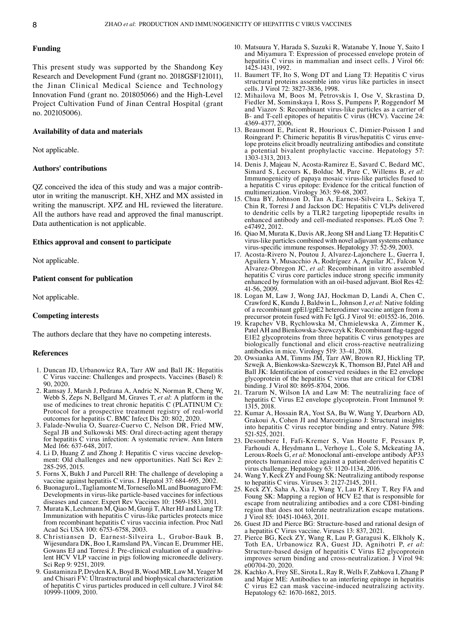# **Funding**

This present study was supported by the Shandong Key Research and Development Fund (grant no. 2018GSF121011), the Jinan Clinical Medical Science and Technology Innovation Fund (grant no. 201805066) and the High-Level Project Cultivation Fund of Jinan Central Hospital (grant no. 202105006).

# **Availability of data and materials**

Not applicable.

## **Authors' contributions**

QZ conceived the idea of this study and was a major contributor in writing the manuscript. KH, XHZ and MX assisted in writing the manuscript. XPZ and HL reviewed the literature. All the authors have read and approved the final manuscript. Data authentication is not applicable.

## **Ethics approval and consent to participate**

Not applicable.

## **Patient consent for publication**

Not applicable.

# **Competing interests**

The authors declare that they have no competing interests.

#### **References**

- 1. Duncan JD, Urbanowicz RA, Tarr AW and Ball JK: Hepatitis C Virus vaccine: Challenges and prospects. Vaccines (Basel) 8: 90, 2020.
- 2. Ramsay J, Marsh J, Pedrana A, Andric N, Norman R, Cheng W, Webb S, Zeps N, Bellgard M, Graves T, *et al*: A platform in the use of medicines to treat chronic hepatitis C (PLATINUM C): Protocol for a prospective treatment registry of real-world outcomes for hepatitis C. BMC Infect Dis 20: 802, 2020.
- 3. Falade‑Nwulia O, Suarez‑Cuervo C, Nelson DR, Fried MW, Segal JB and Sulkowski MS: Oral direct-acting agent therapy for hepatitis C virus infection: A systematic review. Ann Intern Med 166: 637-648, 2017.
- 4. Li D, Huang Z and Zhong J: Hepatitis C virus vaccine develop‑ ment: Old challenges and new opportunities. Natl Sci Rev 2: 285‑295, 2015.
- 5. Forns X, Bukh J and Purcell RH: The challenge of developing a vaccine against hepatitis C virus. J Hepatol 37: 684‑695, 2002.
- 6. BuonaguroL, TagliamonteM, TorneselloML and BuonaguroFM: Developments in virus‑like particle‑based vaccines for infectious diseases and cancer. Expert Rev Vaccines 10: 1569‑1583, 2011.
- 7. Murata K, Lechmann M, Qiao M, Gunji T, Alter HJ and Liang TJ: Immunization with hepatitis C virus-like particles protects mice from recombinant hepatitis C virus vaccinia infection. Proc Natl Acad Sci USA 100: 6753‑6758, 2003.
- 8. Christiansen D, Earnest-Silveira L, Grubor-Bauk B, Wijesundara DK, Boo I, Ramsland PA, Vincan E, Drummer HE, Gowans EJ and Torresi J: Pre-clinical evaluation of a quadrivalent HCV VLP vaccine in pigs following microneedle delivery. Sci Rep 9: 9251, 2019.
- 9. Gastaminza P, Dryden KA, Boyd B, Wood MR, Law M, Yeager M and Chisari FV: Ultrastructural and biophysical characterization of hepatitis C virus particles produced in cell culture. J Virol 84: 10999‑11009, 2010.
- 10. Matsuura Y, Harada S, Suzuki R, Watanabe Y, Inoue Y, Saito I and Miyamura T: Expression of processed envelope protein of hepatitis C virus in mammalian and insect cells. J Virol 66: 1425‑1431, 1992.
- 11. Baumert TF, Ito S, Wong DT and Liang TJ: Hepatitis C virus structural proteins assemble into virus like particles in insect cells. J Virol 72: 3827‑3836, 1998.
- 12. Mihailova M, Boos M, Petrovskis I, Ose V, Skrastina D, Fiedler M, Sominskaya I, Ross S, Pumpens P, Roggendorf M and Viazov S: Recombinant virus-like particles as a carrier of B‑ and T‑cell epitopes of hepatitis C virus (HCV). Vaccine 24: 4369‑4377, 2006.
- 13. Beaumont E, Patient R, Hourioux C, Dimier-Poisson I and Roingeard P: Chimeric hepatitis B virus/hepatitis C virus envelope proteins elicit broadly neutralizing antibodies and constitute a potential bivalent prophylactic vaccine. Hepatology 57: 1303‑1313, 2013.
- 14. Denis J, Majeau N, Acosta‑Ramirez E, Savard C, Bedard MC, Simard S, Lecours K, Bolduc M, Pare C, Willems B, *et al*: Immunogenicity of papaya mosaic virus‑like particles fused to a hepatitis C virus epitope: Evidence for the critical function of multimerization. Virology 363: 59‑68, 2007.
- 15. Chua BY, Johnson D, Tan A, Earnest‑Silveira L, Sekiya T, Chin R, Torresi J and Jackson DC: Hepatitis C VLPs delivered to dendritic cells by a TLR2 targeting lipopeptide results in enhanced antibody and cell-mediated responses. PLoS One 7: e47492, 2012.
- 16. Qiao M, Murata K, Davis AR, Jeong SH and Liang TJ: Hepatitis C virus‑like particles combined with novel adjuvant systems enhance virus‑specific immune responses. Hepatology 37: 52‑59, 2003.
- 17. Acosta-Rivero N, Poutou J, Alvarez-Lajonchere L, Guerra I, Aguilera Y, Musacchio A, Rodríguez A, Aguilar JC, Falcon V, Alvarez‑Obregon JC, *et al*: Recombinant in vitro assembled hepatitis C virus core particles induce strong specific immunity enhanced by formulation with an oil-based adjuvant. Biol Res 42: 41‑56, 2009.
- 18. Logan M, Law J, Wong JAJ, Hockman D, Landi A, Chen C, Crawford K, Kundu J, Baldwin L, Johnson J, *et al*: Native folding of a recombinant gpE1/gpE2 heterodimer vaccine antigen from a precursor protein fused with Fc IgG. J Virol 91: e01552-16, 2016.
- 19. Krapchev VB, Rychlowska M, Chmielewska A, Zimmer K, Patel AH and Bienkowska-Szewczyk K: Recombinant flag-tagged E1E2 glycoproteins from three hepatitis C virus genotypes are biologically functional and elicit cross‑reactive neutralizing antibodies in mice. Virology 519: 33‑41, 2018.
- 20. Owsianka AM, Timms JM, Tarr AW, Brown RJ, Hickling TP, Szwejk A, Bienkowska‑Szewczyk K, Thomson BJ, Patel AH and Ball JK: Identification of conserved residues in the E2 envelope glycoprotein of the hepatitis C virus that are critical for CD81 binding. J Virol 80: 8695‑8704, 2006.
- 21. Tzarum N, Wilson IA and Law M: The neutralizing face of hepatitis C Virus E2 envelope glycoprotein. Front Immunol 9: 1315, 2018.
- 22. Kumar A, Hossain RA, Yost SA, Bu W, Wang Y, Dearborn AD, Grakoui A, Cohen JI and Marcotrigiano J: Structural insights into hepatitis C virus receptor binding and entry. Nature 598: 521‑525, 2021.
- 23. Desombere I, Fafi‑Kremer S, Van Houtte F, Pessaux P, Farhoudi A, Heydmann L, Verhoye L, Cole S, Mckeating JA, Leroux‑Roels G, *et al*: Monoclonal anti‑envelope antibody AP33 protects humanized mice against a patient‑derived hepatitis C virus challenge. Hepatology 63: 1120‑1134, 2016.
- 24. Wang Y, Keck ZY and Foung SK: Neutralizing antibody response to hepatitis C virus. Viruses 3: 2127‑2145, 2011.
- 25. Keck ZY, Saha A, Xia J, Wang Y, Lau P, Krey T, Rey FA and Foung SK: Mapping a region of HCV E2 that is responsible for escape from neutralizing antibodies and a core CD81-binding region that does not tolerate neutralization escape mutations. J Virol 85: 10451‑10463, 2011.
- 26. Guest JD and Pierce BG: Structure‑based and rational design of a hepatitis C Virus vaccine. Viruses 13: 837, 2021.
- 27. Pierce BG, Keck ZY, Wang R, Lau P, Garagusi K, Elkholy K, Toth EA, Urbanowicz RA, Guest JD, Agnihotri P, et al: Structure-based design of hepatitis C Virus E2 glycoprotein improves serum binding and cross-neutralization. J Virol 94: e00704‑20, 2020.
- 28. Kachko A, Frey SE, Sirota L, Ray R, Wells F, Zubkova I, Zhang P and Major ME: Antibodies to an interfering epitope in hepatitis C virus E2 can mask vaccine‑induced neutralizing activity. Hepatology 62: 1670-1682, 2015.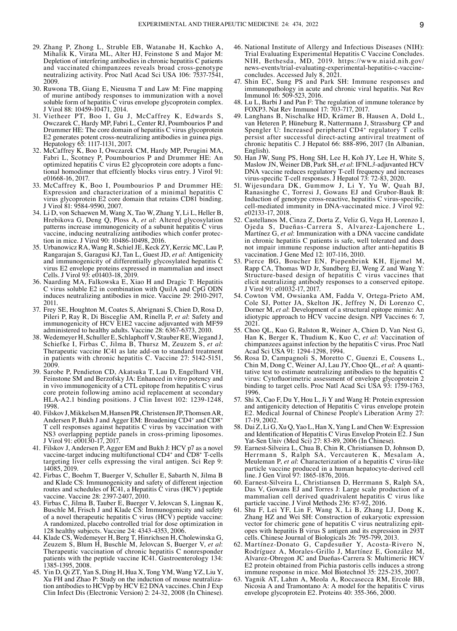- 29. Zhang P, Zhong L, Struble EB, Watanabe H, Kachko A, Mihalik K, Virata ML, Alter HJ, Feinstone S and Major M: Depletion of interfering antibodies in chronic hepatitis C patients and vaccinated chimpanzees reveals broad cross‑genotype neutralizing activity. Proc Natl Acad Sci USA 106: 7537‑7541, 2009.
- 30. Ruwona TB, Giang E, Nieusma T and Law M: Fine mapping of murine antibody responses to immunization with a novel soluble form of hepatitis  $\tilde{C}$  virus envelope glycoprotein complex. J Virol 88: 10459‑10471, 2014.
- 31. Vietheer PT, Boo I, Gu J, McCaffrey K, Edwards S, Owczarek C, Hardy MP, Fabri L, Center RJ, Poumbourios P and Drummer HE: The core domain of hepatitis C virus glycoprotein E2 generates potent cross‑neutralizing antibodies in guinea pigs. Hepatology 65: 1117‑1131, 2017.
- 32. McCaffrey K, Boo I, Owczarek CM, Hardy MP, Perugini MA, Fabri L, Scotney P, Poumbourios P and Drummer HE: An optimized hepatitis C virus E2 glycoprotein core adopts a func‑ tional homodimer that effciently blocks virus entry. J Virol 91: e01668‑16, 2017.
- 33. McCaffrey K, Boo I, Poumbourios P and Drummer HE: Expression and characterization of a minimal hepatitis C virus glycoprotein E2 core domain that retains CD81 binding. J Virol 81: 9584‑9590, 2007.
- 34. Li D, von Schaewen M, Wang X, Tao W, Zhang Y, Li L, Heller B, Hrebikova G, Deng Q, Ploss A, *et al*: Altered glycosylation patterns increase immunogenicity of a subunit hepatitis C virus vaccine, inducing neutralizing antibodies which confer protection in mice. J Virol 90: 10486‑10498, 2016.
- 35. Urbanowicz RA, Wang R, Schiel JE, Keck ZY, Kerzic MC, Lau P, Rangarajan S, Garagusi KJ, Tan L, Guest JD, *et al*: Antigenicity and immunogenicity of differentially glycosylated hepatitis C virus E2 envelope proteins expressed in mammalian and insect Cells. J Virol 93: e01403-18, 2019.
- 36. Naarding MA, Falkowska E, Xiao H and Dragic T: Hepatitis C virus soluble E2 in combination with QuilA and CpG ODN induces neutralizing antibodies in mice. Vaccine 29: 2910‑2917, 2011.
- 37. Frey SE, Houghton M, Coates S, Abrignani S, Chien D, Rosa D, Pileri P, Ray R, Di Bisceglie AM, Rinella P, *et al*: Safety and immunogenicity of HCV E1E2 vaccine adjuvanted with MF59 administered to healthy adults. Vaccine 28: 6367‑6373, 2010.
- 38. Wedemeyer H, Schuller E, Schlaphoff V, Stauber RE, Wiegand J, Schiefke I, Firbas C, Jilma B, Thursz M, Zeuzem S, *et al*: Therapeutic vaccine IC41 as late add‑on to standard treatment in patients with chronic hepatitis C. Vaccine 27: 5142‑5151, 2009.
- 39. Sarobe P, Pendieton CD, Akatsuka T, Lau D, Engelhard VH, Feinstone SM and Berzofsky JA: Enhanced in vitro potency and in vivo immunogenicity of a CTL epitope from hepatitis C virus core protein following amino acid replacement at secondary HLA-A2.1 binding positions. J Clin Invest 102: 1239-1248, 1998.
- 40. Filskov J, Mikkelsen M, Hansen PR, Christensen JP, Thomsen AR, Andersen P, Bukh J and Agger EM: Broadening CD4+ and CD8+ T cell responses against hepatitis C virus by vaccination with NS3 overlapping peptide panels in cross‑priming liposomes. J Virol 91: e00130‑17, 2017.
- 41. Filskov J, Andersen P, Agger EM and Bukh J: HCV p7 as a novel vaccine-target inducing multifunctional CD4<sup>+</sup> and CD8<sup>+</sup> T-cells targeting liver cells expressing the viral antigen. Sci Rep 9: 14085, 2019.
- 42. Firbas C, Boehm T, Buerger V, Schuller E, Sabarth N, Jilma B and Klade CS: Immunogenicity and safety of different injection routes and schedules of IC41, a Hepatitis C virus (HCV) peptide vaccine. Vaccine 28: 2397‑2407, 2010.
- 43. Firbas C, Jilma B, Tauber E, Buerger V, Jelovcan S, Lingnau K, Buschle M, Frisch J and Klade CS: Immunogenicity and safety of a novel therapeutic hepatitis  $C$  virus  $(HC\bar{V})$  peptide vaccine: A randomized, placebo controlled trial for dose optimization in 128 healthy subjects. Vaccine 24: 4343‑4353, 2006.
- 44. Klade CS, Wedemeyer H, Berg T, Hinrichsen H, Cholewinska G, Zeuzem S, Blum H, Buschle M, Jelovcan S, Buerger V, et al: Therapeutic vaccination of chronic hepatitis C nonresponder patients with the peptide vaccine IC41. Gastroenterology 134: 1385‑1395, 2008.
- 45. Yin D, Qi ZT, Yan S, Ding H, Hua X, Tong YM, Wang YZ, Liu Y, Xu FH and Zhao P: Study on the induction of mouse neutraliza‑ tion antibodies to HCVpp by HCV E2 DNA vaccines. Chin J Exp Clin Infect Dis (Electronic Version) 2: 24‑32, 2008 (In Chinese).
- 46. National Institute of Allergy and Infectious Diseases (NIH): Trial Evaluating Experimental Hepatitis C Vaccine Concludes. NIH, Bethesda, MD, 2019. https://www.niaid.nih.gov/ news-events/trial-evaluating-experimental-hepatitis-c-vaccineconcludes. Accessed July 8, 2021.
- 47. Shin EC, Sung PS and Park SH: Immune responses and immunopathology in acute and chronic viral hepatitis. Nat Rev Immunol 16: 509‑523, 2016.
- 48. Lu L, Barbi J and Pan F: The regulation of immune tolerance by FOXP3. Nat Rev Immunol 17: 703‑717, 2017.
- 49. Langhans B, Nischalke HD, Krämer B, Hausen A, Dold L, van Heteren P, Hüneburg R, Nattermann J, Strassburg CP and Spengler U: Increased peripheral CD4<sup>+</sup> regulatory T cells persist after successful direct‑acting antiviral treatment of chronic hepatitis C. J Hepatol 66: 888‑896, 2017 (In Albanian, English).
- 50. Han JW, Sung PS, Hong SH, Lee H, Koh JY, Lee H, White S, Maslow JN, Weiner DB, Park SH, *et al*: IFNL*3*‑adjuvanted HCV DNA vaccine reduces regulatory T-cell frequency and increases virus-specific T-cell responses. J Hepatol 73: 72-83, 2020.
- 51. Wijesundara DK, Gummow J, Li Y, Yu W, Quah BJ, Ranasinghe C, Torresi J, Gowans EJ and Grubor‑Bauk B: Induction of genotype cross-reactive, hepatitis C virus-specific, cell-mediated immunity in DNA-vaccinated mice. J Virol 92: e02133‑17, 2018.
- 52. Castellanos M, Cinza Z, Dorta Z, Veliz G, Vega H, Lorenzo I, Ojeda S, Dueñas‑Carrera S, Alvarez‑Lajonchere L, Martínez G, *et al*: Immunization with a DNA vaccine candidate in chronic hepatitis C patients is safe, well tolerated and does not impair immune response induction after anti‑hepatitis B vaccination. J Gene Med 12: 107‑116, 2010.
- 53. Pierce BG, Boucher EN, Piepenbrink KH, Ejemel M, Rapp CA, Thomas WD Jr, Sundberg EJ, Weng Z and Wang Y: Structure-based design of hepatitis C virus vaccines that elicit neutralizing antibody responses to a conserved epitope. J Virol 91: e01032‑17, 2017.
- 54. Cowton VM, Owsianka AM, Fadda V, Ortega-Prieto AM, Cole SJ, Potter JA, Skelton JK, Jeffrey N, Di Lorenzo C, Dorner M, *et al*: Development of a structural epitope mimic: An idiotypic approach to HCV vaccine design. NPJ Vaccines 6: 7, 2021.
- 55. Choo QL, Kuo G, Ralston R, Weiner A, Chien D, Van Nest G, Han K, Berger K, Thudium K, Kuo C, *et al*: Vaccination of chimpanzees against infection by the hepatitis C virus. Proc Natl Acad Sci USA 91: 1294-1298, 1994.
- 56. Rosa D, Campagnoli S, Moretto C, Guenzi E, Cousens L, Chin M, Dong C, Weiner AJ, Lau JY, Choo QL, *et al*: A quanti‑ tative test to estimate neutralizing antibodies to the hepatitis C virus: Cytofluorimetric assessment of envelope glycoprotein 2 binding to target cells. Proc Natl Acad Sci USA 93: 1759-1763, 1996.
- 57. Shi X, Cao F, Du Y, Hou L, Ji Y and Wang H: Protein expression and antigenicity detection of Hepatitis C virus envelope protein E2. Medical Journal of Chinese People's Liberation Army 27: 17‑19, 2002.
- 58. Dai Z, Li G, Xu Q, Yao L, Han X, Yang L and Chen W: Expression and Identification of Hepatitis C Virus Envelop Protein E2. J Sun Yat‑Sen Univ (Med Sci) 27: 83‑89, 2006 (In Chinese).
- 59. Earnest‑Silveira L, Chua B, Chin R, Christiansen D, Johnson D, Herrmann S, Ralph SA, Vercauteren K, Mesalam A, Meuleman P, *et al*: Characterization of a hepatitis C virus-like particle vaccine produced in a human hepatocyte‑derived cell line. J Gen Virol 97: 1865‑1876, 2016.
- 60. Earnest‑Silveira L, Christiansen D, Herrmann S, Ralph SA, Das V, Gowans EJ and Torres J: Large scale production of a mammalian cell derived quadrivalent hepatitis C virus like particle vaccine. J Virol Methods 236: 87-92, 2016.
- 61. Shu F, Lei YF, Lin F, Wang X, Li B, Zhang LJ, Dong K, Zhang HZ and Wei SH: Construction of eukaryotic expression vector for chimeric gene of hepatitis C virus neutralizing epitopes with hepatitis B virus S antigen and its expression in 293T cells. Chinese Journal of Biologicals 26: 795‑799, 2013.
- 62. Martínez‑Donato G, Capdesuñer Y, Acosta‑Rivero N, Rodríguez A, Morales‑Grillo J, Martínez E, González M, Alvarez‑Obregon JC and Dueñas‑Carrera S: Multimeric HCV E2 protein obtained from Pichia pastoris cells induces a strong immune response in mice. Mol Biotechnol 35: 225‑235, 2007.
- 63. Yagnik AT, Lahm A, Meola A, Roccasecca RM, Ercole BB, Nicosia A and Tramontano A: A model for the hepatitis C virus envelope glycoprotein E2. Proteins 40: 355‑366, 2000.